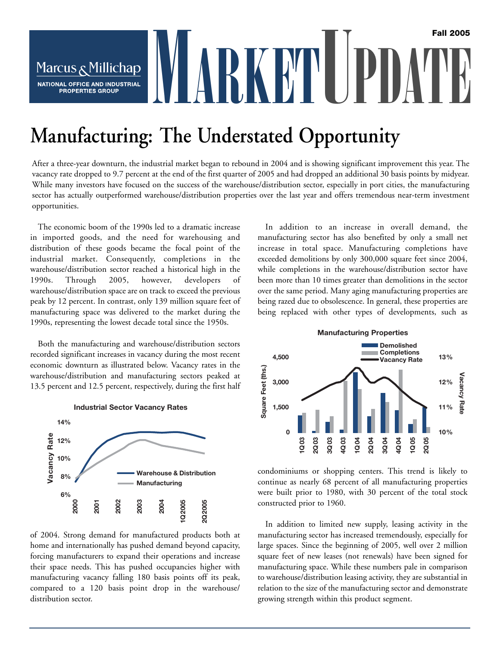# MARKETUPDATE **Fall 2005** Marcus & Millichap NATIONAL OFFICE AND INDUSTRIAL **PROPERTIES GROUP**

# **Manufacturing: The Understated Opportunity**

After a three-year downturn, the industrial market began to rebound in 2004 and is showing significant improvement this year. The vacancy rate dropped to 9.7 percent at the end of the first quarter of 2005 and had dropped an additional 30 basis points by midyear. While many investors have focused on the success of the warehouse/distribution sector, especially in port cities, the manufacturing sector has actually outperformed warehouse/distribution properties over the last year and offers tremendous near-term investment opportunities.

The economic boom of the 1990s led to a dramatic increase in imported goods, and the need for warehousing and distribution of these goods became the focal point of the industrial market. Consequently, completions in the warehouse/distribution sector reached a historical high in the 1990s. Through 2005, however, developers of warehouse/distribution space are on track to exceed the previous peak by 12 percent. In contrast, only 139 million square feet of manufacturing space was delivered to the market during the 1990s, representing the lowest decade total since the 1950s.

Both the manufacturing and warehouse/distribution sectors recorded significant increases in vacancy during the most recent economic downturn as illustrated below. Vacancy rates in the warehouse/distribution and manufacturing sectors peaked at 13.5 percent and 12.5 percent, respectively, during the first half



of 2004. Strong demand for manufactured products both at home and internationally has pushed demand beyond capacity, forcing manufacturers to expand their operations and increase their space needs. This has pushed occupancies higher with manufacturing vacancy falling 180 basis points off its peak, compared to a 120 basis point drop in the warehouse/ distribution sector.

In addition to an increase in overall demand, the manufacturing sector has also benefited by only a small net increase in total space. Manufacturing completions have exceeded demolitions by only 300,000 square feet since 2004, while completions in the warehouse/distribution sector have been more than 10 times greater than demolitions in the sector over the same period. Many aging manufacturing properties are being razed due to obsolescence. In general, these properties are being replaced with other types of developments, such as



condominiums or shopping centers. This trend is likely to continue as nearly 68 percent of all manufacturing properties were built prior to 1980, with 30 percent of the total stock constructed prior to 1960.

In addition to limited new supply, leasing activity in the manufacturing sector has increased tremendously, especially for large spaces. Since the beginning of 2005, well over 2 million square feet of new leases (not renewals) have been signed for manufacturing space. While these numbers pale in comparison to warehouse/distribution leasing activity, they are substantial in relation to the size of the manufacturing sector and demonstrate growing strength within this product segment.